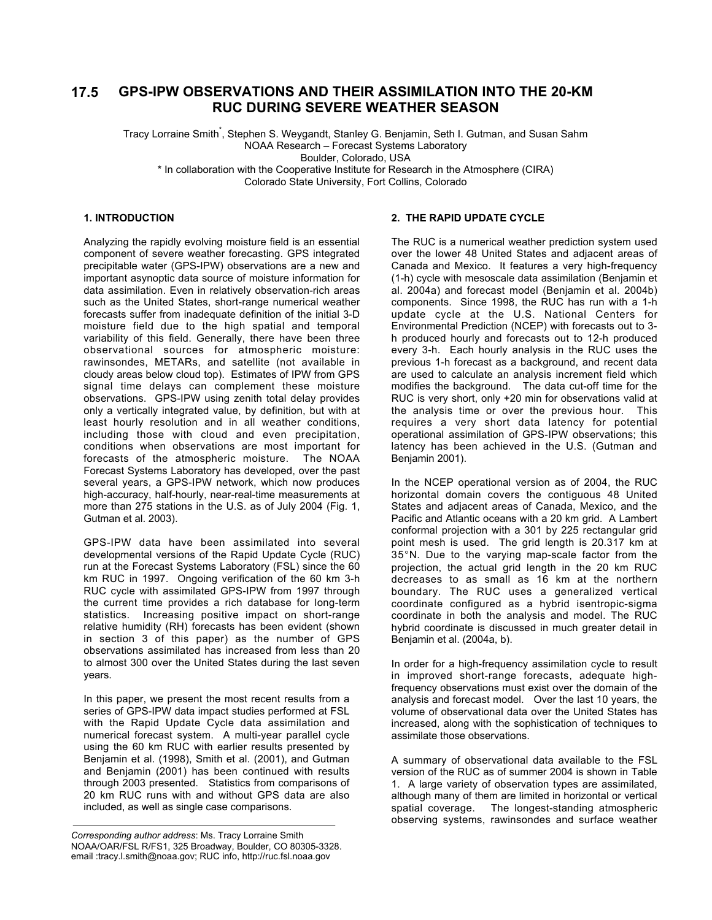#### **GPS-IPW OBSERVATIONS AND THEIR ASSIMILATION INTO THE 20-KM RUC DURING SEVERE WEATHER SEASON 17.5**

Tracy Lorraine Smith<sup>\*</sup>, Stephen S. Weygandt, Stanley G. Benjamin, Seth I. Gutman, and Susan Sahm NOAA Research – Forecast Systems Laboratory Boulder, Colorado, USA \* In collaboration with the Cooperative Institute for Research in the Atmosphere (CIRA)

Colorado State University, Fort Collins, Colorado

# **1. INTRODUCTION**

Analyzing the rapidly evolving moisture field is an essential component of severe weather forecasting. GPS integrated precipitable water (GPS-IPW) observations are a new and important asynoptic data source of moisture information for data assimilation. Even in relatively observation-rich areas such as the United States, short-range numerical weather forecasts suffer from inadequate definition of the initial 3-D moisture field due to the high spatial and temporal variability of this field. Generally, there have been three observational sources for atmospheric moisture: rawinsondes, METARs, and satellite (not available in cloudy areas below cloud top). Estimates of IPW from GPS signal time delays can complement these moisture observations. GPS-IPW using zenith total delay provides only a vertically integrated value, by definition, but with at least hourly resolution and in all weather conditions, including those with cloud and even precipitation, conditions when observations are most important for forecasts of the atmospheric moisture. The NOAA Forecast Systems Laboratory has developed, over the past several years, a GPS-IPW network, which now produces high-accuracy, half-hourly, near-real-time measurements at more than 275 stations in the U.S. as of July 2004 (Fig. 1, Gutman et al. 2003).

GPS-IPW data have been assimilated into several developmental versions of the Rapid Update Cycle (RUC) run at the Forecast Systems Laboratory (FSL) since the 60 km RUC in 1997. Ongoing verification of the 60 km 3-h RUC cycle with assimilated GPS-IPW from 1997 through the current time provides a rich database for long-term statistics. Increasing positive impact on short-range relative humidity (RH) forecasts has been evident (shown in section 3 of this paper) as the number of GPS observations assimilated has increased from less than 20 to almost 300 over the United States during the last seven years.

In this paper, we present the most recent results from a series of GPS-IPW data impact studies performed at FSL with the Rapid Update Cycle data assimilation and numerical forecast system. A multi-year parallel cycle using the 60 km RUC with earlier results presented by Benjamin et al. (1998), Smith et al. (2001), and Gutman and Benjamin (2001) has been continued with results through 2003 presented. Statistics from comparisons of 20 km RUC runs with and without GPS data are also included, as well as single case comparisons.

## **2. THE RAPID UPDATE CYCLE**

The RUC is a numerical weather prediction system used over the lower 48 United States and adjacent areas of Canada and Mexico. It features a very high-frequency (1-h) cycle with mesoscale data assimilation (Benjamin et al. 2004a) and forecast model (Benjamin et al. 2004b) components. Since 1998, the RUC has run with a 1-h update cycle at the U.S. National Centers for Environmental Prediction (NCEP) with forecasts out to 3 h produced hourly and forecasts out to 12-h produced every 3-h. Each hourly analysis in the RUC uses the previous 1-h forecast as a background, and recent data are used to calculate an analysis increment field which modifies the background. The data cut-off time for the RUC is very short, only +20 min for observations valid at the analysis time or over the previous hour. This requires a very short data latency for potential operational assimilation of GPS-IPW observations; this latency has been achieved in the U.S. (Gutman and Benjamin 2001).

In the NCEP operational version as of 2004, the RUC horizontal domain covers the contiguous 48 United States and adjacent areas of Canada, Mexico, and the Pacific and Atlantic oceans with a 20 km grid. A Lambert conformal projection with a 301 by 225 rectangular grid point mesh is used. The grid length is 20.317 km at 35°N. Due to the varying map-scale factor from the projection, the actual grid length in the 20 km RUC decreases to as small as 16 km at the northern boundary. The RUC uses a generalized vertical coordinate configured as a hybrid isentropic-sigma coordinate in both the analysis and model. The RUC hybrid coordinate is discussed in much greater detail in Benjamin et al. (2004a, b).

In order for a high-frequency assimilation cycle to result in improved short-range forecasts, adequate highfrequency observations must exist over the domain of the analysis and forecast model. Over the last 10 years, the volume of observational data over the United States has increased, along with the sophistication of techniques to assimilate those observations.

A summary of observational data available to the FSL version of the RUC as of summer 2004 is shown in Table 1. A large variety of observation types are assimilated, although many of them are limited in horizontal or vertical spatial coverage. The longest-standing atmospheric observing systems, rawinsondes and surface weather

*Corresponding author address*: Ms. Tracy Lorraine Smith NOAA/OAR/FSL R/FS1, 325 Broadway, Boulder, CO 80305-3328. email :tracy.l.smith@noaa.gov; RUC info, http://ruc.fsl.noaa.gov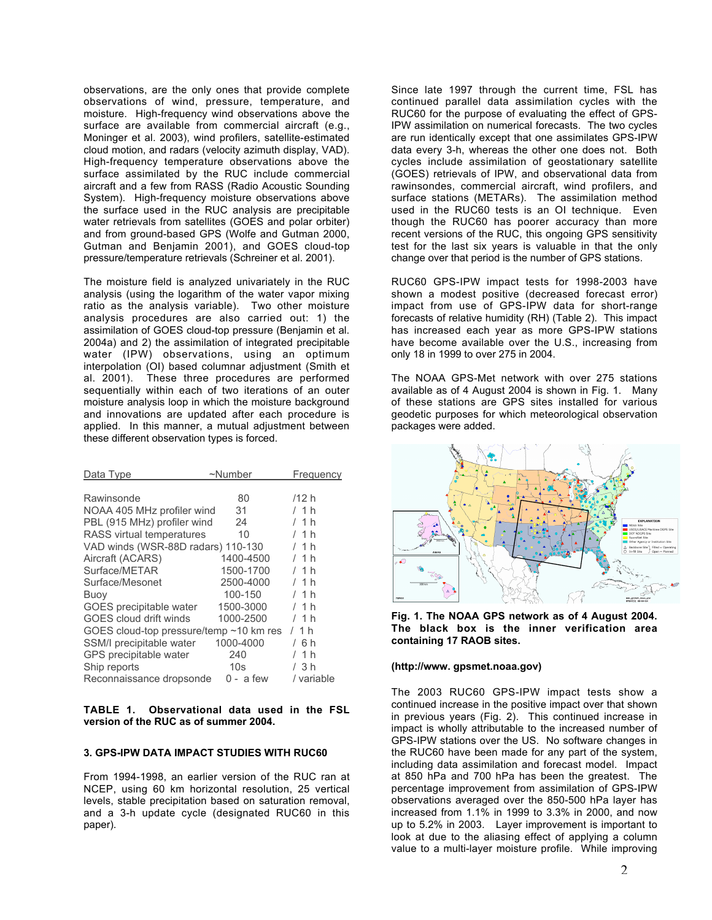observations, are the only ones that provide complete observations of wind, pressure, temperature, and moisture. High-frequency wind observations above the surface are available from commercial aircraft (e.g., Moninger et al. 2003), wind profilers, satellite-estimated cloud motion, and radars (velocity azimuth display, VAD). High-frequency temperature observations above the surface assimilated by the RUC include commercial aircraft and a few from RASS (Radio Acoustic Sounding System). High-frequency moisture observations above the surface used in the RUC analysis are precipitable water retrievals from satellites (GOES and polar orbiter) and from ground-based GPS (Wolfe and Gutman 2000, Gutman and Benjamin 2001), and GOES cloud-top pressure/temperature retrievals (Schreiner et al. 2001).

The moisture field is analyzed univariately in the RUC analysis (using the logarithm of the water vapor mixing ratio as the analysis variable). Two other moisture analysis procedures are also carried out: 1) the assimilation of GOES cloud-top pressure (Benjamin et al. 2004a) and 2) the assimilation of integrated precipitable water (IPW) observations, using an optimum interpolation (OI) based columnar adjustment (Smith et al. 2001). These three procedures are performed sequentially within each of two iterations of an outer moisture analysis loop in which the moisture background and innovations are updated after each procedure is applied. In this manner, a mutual adjustment between these different observation types is forced.

| Data Type                               | $~\sim$ Number  | Frequency  |
|-----------------------------------------|-----------------|------------|
|                                         |                 |            |
| Rawinsonde                              | 80              | /12 h      |
| NOAA 405 MHz profiler wind              | 31              | / 1 h      |
| PBL (915 MHz) profiler wind             | 24              | /1h        |
| RASS virtual temperatures               | 10              | /1h        |
| VAD winds (WSR-88D radars) 110-130      |                 | / 1 h      |
| Aircraft (ACARS)                        | 1400-4500       | /1h        |
| Surface/METAR                           | 1500-1700       | / 1 h      |
| Surface/Mesonet                         | 2500-4000       | /1h        |
| Buoy                                    | 100-150         | / 1 h      |
| GOES precipitable water                 | 1500-3000       | /1h        |
| GOES cloud drift winds                  | 1000-2500       | / 1 h      |
| GOES cloud-top pressure/temp ~10 km res |                 | /1h        |
| SSM/I precipitable water                | 1000-4000       | / 6 h      |
| GPS precipitable water                  | 240             | / 1 h      |
| Ship reports                            | 10 <sub>s</sub> | / 3 h      |
| Reconnaissance dropsonde                | $0 - a few$     | / variable |

**TABLE 1. Observational data used in the FSL version of the RUC as of summer 2004.**

## **3. GPS-IPW DATA IMPACT STUDIES WITH RUC60**

From 1994-1998, an earlier version of the RUC ran at NCEP, using 60 km horizontal resolution, 25 vertical levels, stable precipitation based on saturation removal, and a 3-h update cycle (designated RUC60 in this paper).

Since late 1997 through the current time, FSL has continued parallel data assimilation cycles with the RUC60 for the purpose of evaluating the effect of GPS-IPW assimilation on numerical forecasts. The two cycles are run identically except that one assimilates GPS-IPW data every 3-h, whereas the other one does not. Both cycles include assimilation of geostationary satellite (GOES) retrievals of IPW, and observational data from rawinsondes, commercial aircraft, wind profilers, and surface stations (METARs). The assimilation method used in the RUC60 tests is an OI technique. Even though the RUC60 has poorer accuracy than more recent versions of the RUC, this ongoing GPS sensitivity test for the last six years is valuable in that the only change over that period is the number of GPS stations.

RUC60 GPS-IPW impact tests for 1998-2003 have shown a modest positive (decreased forecast error) impact from use of GPS-IPW data for short-range forecasts of relative humidity (RH) (Table 2). This impact has increased each year as more GPS-IPW stations have become available over the U.S., increasing from only 18 in 1999 to over 275 in 2004.

The NOAA GPS-Met network with over 275 stations available as of 4 August 2004 is shown in Fig. 1. Many of these stations are GPS sites installed for various geodetic purposes for which meteorological observation packages were added.



**Fig. 1. The NOAA GPS network as of 4 August 2004. The black box is the inner verification area containing 17 RAOB sites.**

### **(http://www. gpsmet.noaa.gov)**

The 2003 RUC60 GPS-IPW impact tests show a continued increase in the positive impact over that shown in previous years (Fig. 2). This continued increase in impact is wholly attributable to the increased number of GPS-IPW stations over the US. No software changes in the RUC60 have been made for any part of the system, including data assimilation and forecast model. Impact at 850 hPa and 700 hPa has been the greatest. The percentage improvement from assimilation of GPS-IPW observations averaged over the 850-500 hPa layer has increased from 1.1% in 1999 to 3.3% in 2000, and now up to 5.2% in 2003. Layer improvement is important to look at due to the aliasing effect of applying a column value to a multi-layer moisture profile. While improving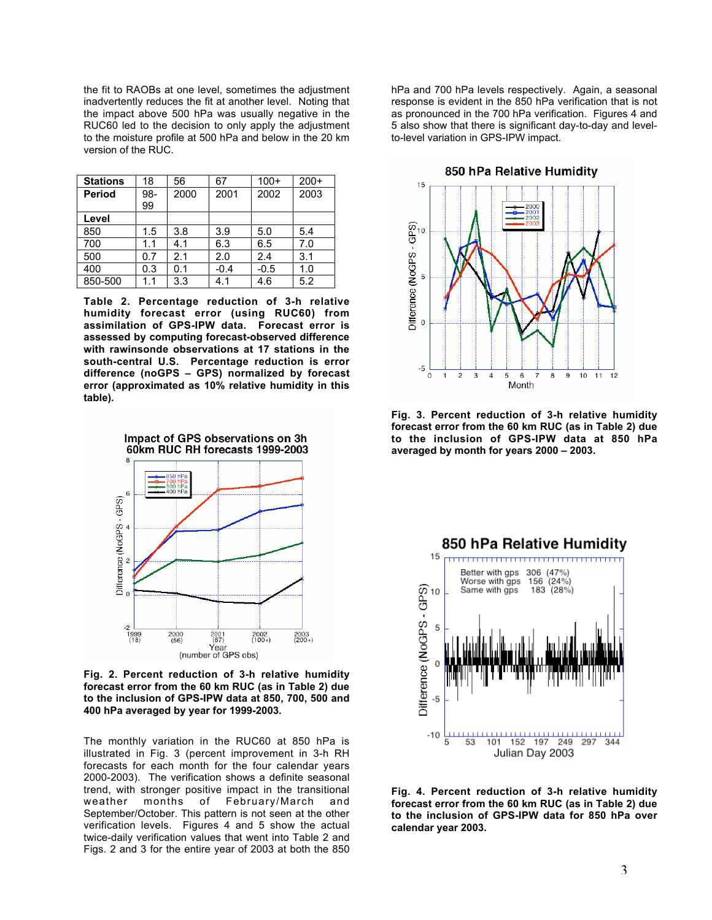the fit to RAOBs at one level, sometimes the adjustment inadvertently reduces the fit at another level. Noting that the impact above 500 hPa was usually negative in the RUC60 led to the decision to only apply the adjustment to the moisture profile at 500 hPa and below in the 20 km version of the RUC.

| <b>Stations</b> | 18  | 56   | 67     | $100+$ | $200+$ |
|-----------------|-----|------|--------|--------|--------|
| <b>Period</b>   | 98- | 2000 | 2001   | 2002   | 2003   |
|                 | 99  |      |        |        |        |
| Level           |     |      |        |        |        |
| 850             | 1.5 | 3.8  | 3.9    | 5.0    | 5.4    |
| 700             | 1.1 | 4.1  | 6.3    | 6.5    | 7.0    |
| 500             | 0.7 | 2.1  | 2.0    | 2.4    | 3.1    |
| 400             | 0.3 | 0.1  | $-0.4$ | $-0.5$ | 1.0    |
| 850-500         | 1.1 | 3.3  | 4.1    | 4.6    | 5.2    |

**Table 2. Percentage reduction of 3-h relative humidity forecast error (using RUC60) from assimilation of GPS-IPW data. Forecast error is assessed by computing forecast-observed difference with rawinsonde observations at 17 stations in the south-central U.S. Percentage reduction is error difference (noGPS – GPS) normalized by forecast error (approximated as 10% relative humidity in this table).**



**Fig. 2. Percent reduction of 3-h relative humidity forecast error from the 60 km RUC (as in Table 2) due to the inclusion of GPS-IPW data at 850, 700, 500 and 400 hPa averaged by year for 1999-2003.**

The monthly variation in the RUC60 at 850 hPa is illustrated in Fig. 3 (percent improvement in 3-h RH forecasts for each month for the four calendar years 2000-2003). The verification shows a definite seasonal trend, with stronger positive impact in the transitional weather months of February/March and September/October. This pattern is not seen at the other verification levels. Figures 4 and 5 show the actual twice-daily verification values that went into Table 2 and Figs. 2 and 3 for the entire year of 2003 at both the 850 hPa and 700 hPa levels respectively. Again, a seasonal response is evident in the 850 hPa verification that is not as pronounced in the 700 hPa verification. Figures 4 and 5 also show that there is significant day-to-day and levelto-level variation in GPS-IPW impact.



**Fig. 3. Percent reduction of 3-h relative humidity forecast error from the 60 km RUC (as in Table 2) due to the inclusion of GPS-IPW data at 850 hPa averaged by month for years 2000 – 2003.**



**Fig. 4. Percent reduction of 3-h relative humidity forecast error from the 60 km RUC (as in Table 2) due to the inclusion of GPS-IPW data for 850 hPa over calendar year 2003.**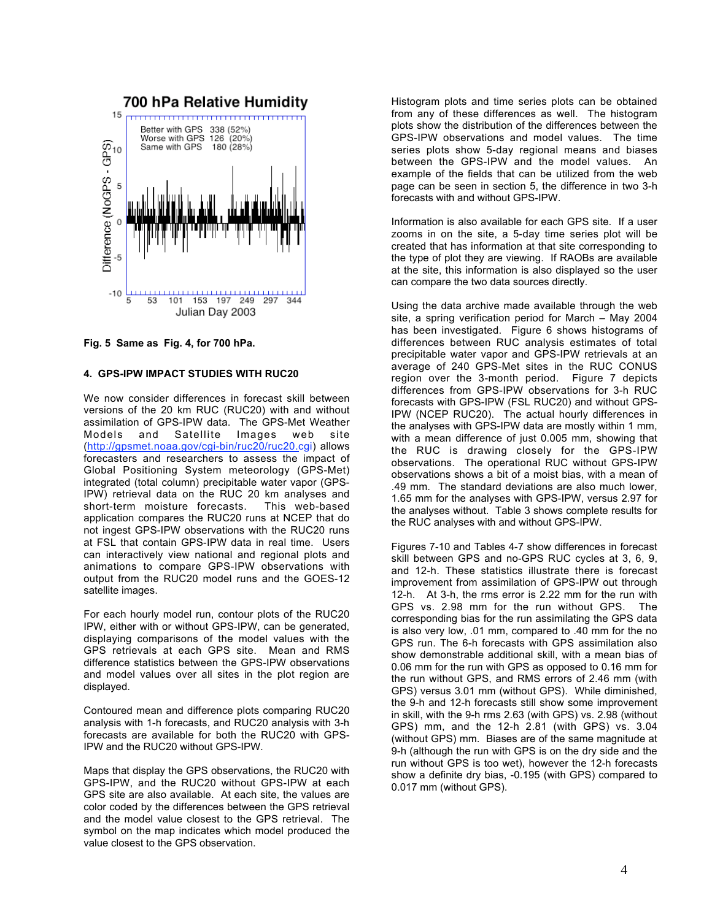

**Fig. 5 Same as Fig. 4, for 700 hPa.**

### **4. GPS-IPW IMPACT STUDIES WITH RUC20**

We now consider differences in forecast skill between versions of the 20 km RUC (RUC20) with and without assimilation of GPS-IPW data. The GPS-Met Weather Models and Satellite Images web site (http://gpsmet.noaa.gov/cgi-bin/ruc20/ruc20.cgi) allows forecasters and researchers to assess the impact of Global Positioning System meteorology (GPS-Met) integrated (total column) precipitable water vapor (GPS-IPW) retrieval data on the RUC 20 km analyses and short-term moisture forecasts. This web-based application compares the RUC20 runs at NCEP that do not ingest GPS-IPW observations with the RUC20 runs at FSL that contain GPS-IPW data in real time. Users can interactively view national and regional plots and animations to compare GPS-IPW observations with output from the RUC20 model runs and the GOES-12 satellite images.

For each hourly model run, contour plots of the RUC20 IPW, either with or without GPS-IPW, can be generated, displaying comparisons of the model values with the GPS retrievals at each GPS site. Mean and RMS difference statistics between the GPS-IPW observations and model values over all sites in the plot region are displayed.

Contoured mean and difference plots comparing RUC20 analysis with 1-h forecasts, and RUC20 analysis with 3-h forecasts are available for both the RUC20 with GPS-IPW and the RUC20 without GPS-IPW.

Maps that display the GPS observations, the RUC20 with GPS-IPW, and the RUC20 without GPS-IPW at each GPS site are also available. At each site, the values are color coded by the differences between the GPS retrieval and the model value closest to the GPS retrieval. The symbol on the map indicates which model produced the value closest to the GPS observation.

Histogram plots and time series plots can be obtained from any of these differences as well. The histogram plots show the distribution of the differences between the GPS-IPW observations and model values. The time series plots show 5-day regional means and biases between the GPS-IPW and the model values. An example of the fields that can be utilized from the web page can be seen in section 5, the difference in two 3-h forecasts with and without GPS-IPW.

Information is also available for each GPS site. If a user zooms in on the site, a 5-day time series plot will be created that has information at that site corresponding to the type of plot they are viewing. If RAOBs are available at the site, this information is also displayed so the user can compare the two data sources directly.

Using the data archive made available through the web site, a spring verification period for March – May 2004 has been investigated. Figure 6 shows histograms of differences between RUC analysis estimates of total precipitable water vapor and GPS-IPW retrievals at an average of 240 GPS-Met sites in the RUC CONUS region over the 3-month period. Figure 7 depicts differences from GPS-IPW observations for 3-h RUC forecasts with GPS-IPW (FSL RUC20) and without GPS-IPW (NCEP RUC20). The actual hourly differences in the analyses with GPS-IPW data are mostly within 1 mm, with a mean difference of just 0.005 mm, showing that the RUC is drawing closely for the GPS-IPW observations. The operational RUC without GPS-IPW observations shows a bit of a moist bias, with a mean of .49 mm. The standard deviations are also much lower, 1.65 mm for the analyses with GPS-IPW, versus 2.97 for the analyses without. Table 3 shows complete results for the RUC analyses with and without GPS-IPW.

Figures 7-10 and Tables 4-7 show differences in forecast skill between GPS and no-GPS RUC cycles at 3, 6, 9, and 12-h. These statistics illustrate there is forecast improvement from assimilation of GPS-IPW out through 12-h. At 3-h, the rms error is 2.22 mm for the run with GPS vs. 2.98 mm for the run without GPS. The corresponding bias for the run assimilating the GPS data is also very low, .01 mm, compared to .40 mm for the no GPS run. The 6-h forecasts with GPS assimilation also show demonstrable additional skill, with a mean bias of 0.06 mm for the run with GPS as opposed to 0.16 mm for the run without GPS, and RMS errors of 2.46 mm (with GPS) versus 3.01 mm (without GPS). While diminished, the 9-h and 12-h forecasts still show some improvement in skill, with the 9-h rms 2.63 (with GPS) vs. 2.98 (without GPS) mm, and the 12-h 2.81 (with GPS) vs. 3.04 (without GPS) mm. Biases are of the same magnitude at 9-h (although the run with GPS is on the dry side and the run without GPS is too wet), however the 12-h forecasts show a definite dry bias, -0.195 (with GPS) compared to 0.017 mm (without GPS).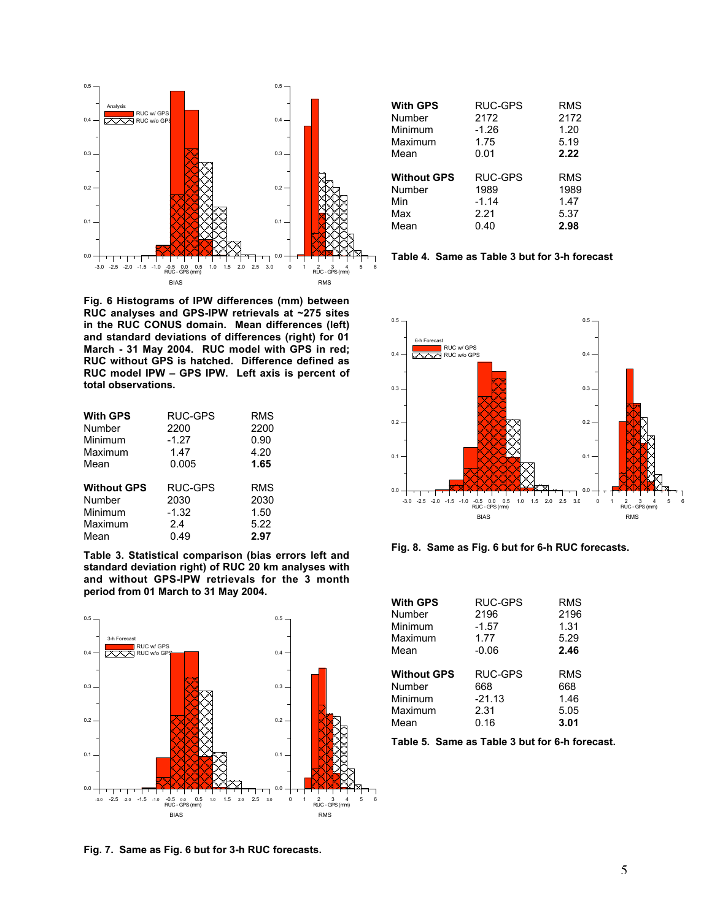

**Fig. 6 Histograms of IPW differences (mm) between RUC analyses and GPS-IPW retrievals at ~275 sites in the RUC CONUS domain. Mean differences (left) and standard deviations of differences (right) for 01 March - 31 May 2004. RUC model with GPS in red; RUC without GPS is hatched. Difference defined as RUC model IPW – GPS IPW. Left axis is percent of total observations.**

| <b>With GPS</b>    | <b>RUC-GPS</b> | <b>RMS</b> |
|--------------------|----------------|------------|
| Number             | 2200           | 2200       |
| Minimum            | $-1.27$        | 0.90       |
| Maximum            | 1.47           | 4.20       |
| Mean               | 0.005          | 1.65       |
| <b>Without GPS</b> | RUC-GPS        | <b>RMS</b> |
| Number             | 2030           | 2030       |
| Minimum            | $-1.32$        | 1.50       |
| Maximum            | 24             | 5.22       |
| Mean               | 0.49           | 2.97       |

**Table 3. Statistical comparison (bias errors left and standard deviation right) of RUC 20 km analyses with and without GPS-IPW retrievals for the 3 month period from 01 March to 31 May 2004.**



|  |  |  |  |  |  |  |  | Fig. 7. Same as Fig. 6 but for 3-h RUC forecasts. |
|--|--|--|--|--|--|--|--|---------------------------------------------------|
|--|--|--|--|--|--|--|--|---------------------------------------------------|

| <b>With GPS</b>    | RUC-GPS | <b>RMS</b> |
|--------------------|---------|------------|
| Number             | 2172    | 2172       |
| Minimum            | $-1.26$ | 1.20       |
| Maximum            | 1.75    | 5.19       |
| Mean               | 0.01    | 2.22       |
|                    |         |            |
|                    |         |            |
| <b>Without GPS</b> | RUC-GPS | RMS        |
| Number             | 1989    | 1989       |
| Min                | $-1.14$ | 1.47       |
| Max                | 2.21    | 5.37       |
| Mean               | 0.40    | 2.98       |

|  |  |  |  | Table 4. Same as Table 3 but for 3-h forecast |
|--|--|--|--|-----------------------------------------------|
|--|--|--|--|-----------------------------------------------|



**Fig. 8. Same as Fig. 6 but for 6-h RUC forecasts.**

| <b>With GPS</b>    | RUC-GPS  | RMS  |
|--------------------|----------|------|
| Number             | 2196     | 2196 |
| Minimum            | $-1.57$  | 1.31 |
| Maximum            | 1.77     | 5.29 |
| Mean               | $-0.06$  | 2.46 |
| <b>Without GPS</b> | RUC-GPS  | RMS  |
| Number             | 668      | 668  |
| Minimum            | $-21.13$ | 1.46 |
| Maximum            | 2.31     | 5.05 |
| Mean               | 0.16     | 3.01 |

**Table 5. Same as Table 3 but for 6-h forecast.**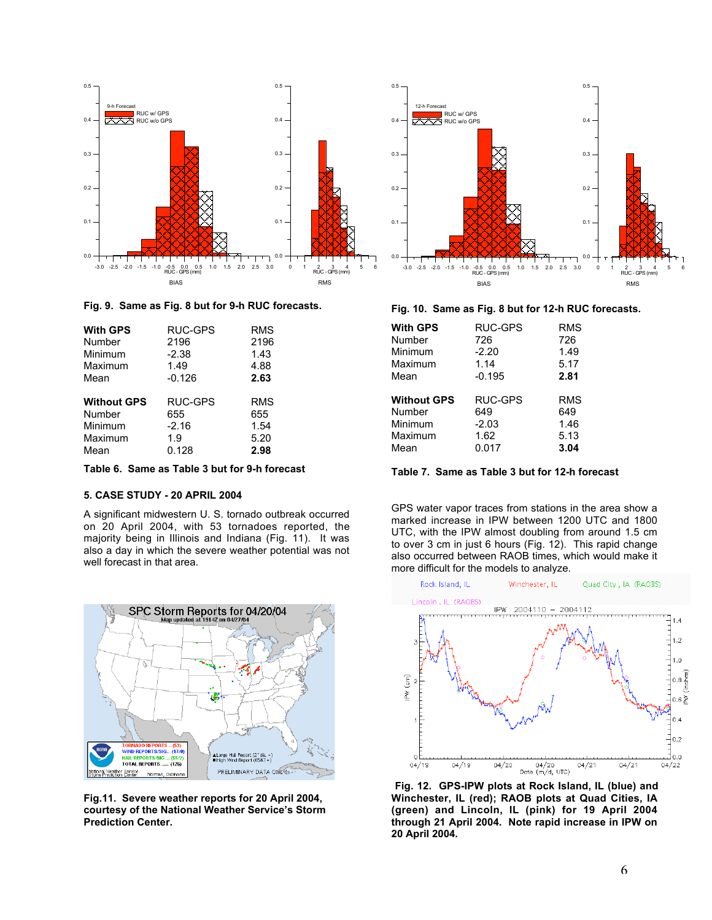

## **Fig. 9. Same as Fig. 8 but for 9-h RUC forecasts.**

| <b>With GPS</b>    | RUC-GPS  | RMS        |
|--------------------|----------|------------|
| Number             | 2196     | 2196       |
| Minimum            | $-2.38$  | 1.43       |
| Maximum            | 1.49     | 4.88       |
| Mean               | $-0.126$ | 2.63       |
| <b>Without GPS</b> | RUC-GPS  | <b>RMS</b> |
| Number             | 655      | 655        |
| Minimum            | $-2.16$  | 1.54       |
| Maximum            | 1.9      | 5.20       |
| Mean               | 0.128    | 2.98       |

**Table 6. Same as Table 3 but for 9-h forecast**

### **5. CASE STUDY - 20 APRIL 2004**

A significant midwestern U. S. tornado outbreak occurred on 20 April 2004, with 53 tornadoes reported, the majority being in Illinois and Indiana (Fig. 11). It was also a day in which the severe weather potential was not well forecast in that area.



**Fig.11. Severe weather reports for 20 April 2004, courtesy of the National Weather Service's Storm Prediction Center.**



**Fig. 10. Same as Fig. 8 but for 12-h RUC forecasts.**

| <b>With GPS</b>    | RUC-GPS        | RMS        |
|--------------------|----------------|------------|
| Number             | 726            | 726        |
| Minimum            | $-2.20$        | 1.49       |
| Maximum            | 1.14           | 5.17       |
| Mean               | $-0.195$       | 2.81       |
|                    |                |            |
| <b>Without GPS</b> | <b>RUC-GPS</b> | <b>RMS</b> |
| Number             | 649            | 649        |
| Minimum            | $-2.03$        | 1.46       |
| Maximum            | 1.62           | 5.13       |
| Mean               | 0.017          | 3.04       |
|                    |                |            |

**Table 7. Same as Table 3 but for 12-h forecast**

GPS water vapor traces from stations in the area show a marked increase in IPW between 1200 UTC and 1800 UTC, with the IPW almost doubling from around 1.5 cm to over 3 cm in just 6 hours (Fig. 12). This rapid change also occurred between RAOB times, which would make it more difficult for the models to analyze.



**Fig. 12. GPS-IPW plots at Rock Island, IL (blue) and Winchester, IL (red); RAOB plots at Quad Cities, IA (green) and Lincoln, IL (pink) for 19 April 2004 through 21 April 2004. Note rapid increase in IPW on 20 April 2004.**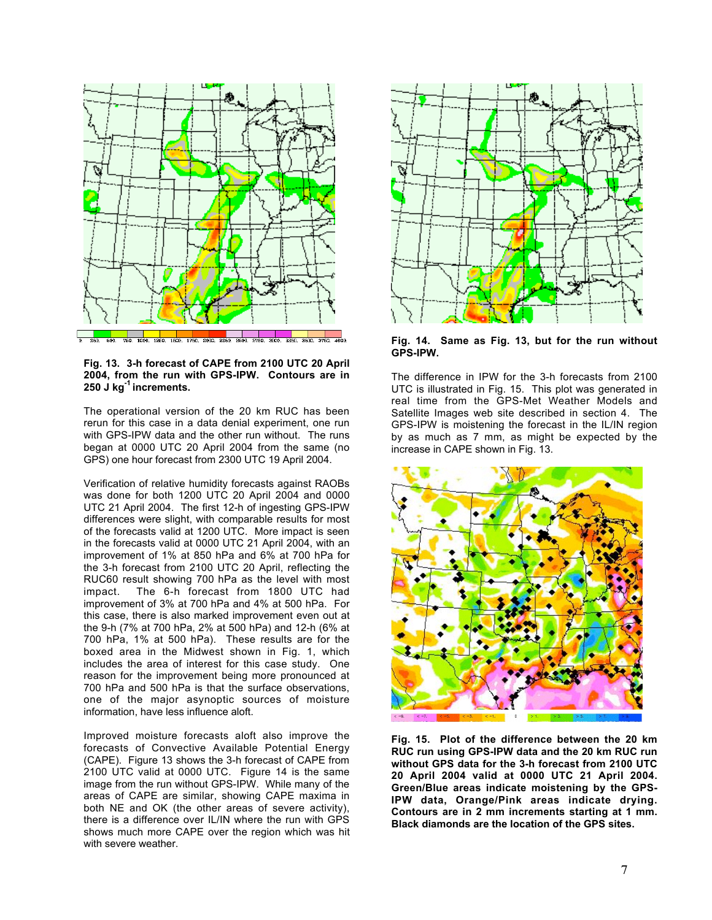

**Fig. 13. 3-h forecast of CAPE from 2100 UTC 20 April 2004, from the run with GPS-IPW. Contours are in 250 J kg-1 increments.**

The operational version of the 20 km RUC has been rerun for this case in a data denial experiment, one run with GPS-IPW data and the other run without. The runs began at 0000 UTC 20 April 2004 from the same (no GPS) one hour forecast from 2300 UTC 19 April 2004.

Verification of relative humidity forecasts against RAOBs was done for both 1200 UTC 20 April 2004 and 0000 UTC 21 April 2004. The first 12-h of ingesting GPS-IPW differences were slight, with comparable results for most of the forecasts valid at 1200 UTC. More impact is seen in the forecasts valid at 0000 UTC 21 April 2004, with an improvement of 1% at 850 hPa and 6% at 700 hPa for the 3-h forecast from 2100 UTC 20 April, reflecting the RUC60 result showing 700 hPa as the level with most impact. The 6-h forecast from 1800 UTC had improvement of 3% at 700 hPa and 4% at 500 hPa. For this case, there is also marked improvement even out at the 9-h (7% at 700 hPa, 2% at 500 hPa) and 12-h (6% at 700 hPa, 1% at 500 hPa). These results are for the boxed area in the Midwest shown in Fig. 1, which includes the area of interest for this case study. One reason for the improvement being more pronounced at 700 hPa and 500 hPa is that the surface observations, one of the major asynoptic sources of moisture information, have less influence aloft.

Improved moisture forecasts aloft also improve the forecasts of Convective Available Potential Energy (CAPE). Figure 13 shows the 3-h forecast of CAPE from 2100 UTC valid at 0000 UTC. Figure 14 is the same image from the run without GPS-IPW. While many of the areas of CAPE are similar, showing CAPE maxima in both NE and OK (the other areas of severe activity), there is a difference over IL/IN where the run with GPS shows much more CAPE over the region which was hit with severe weather.



**Fig. 14. Same as Fig. 13, but for the run without GPS-IPW.**

The difference in IPW for the 3-h forecasts from 2100 UTC is illustrated in Fig. 15. This plot was generated in real time from the GPS-Met Weather Models and Satellite Images web site described in section 4. The GPS-IPW is moistening the forecast in the IL/IN region by as much as 7 mm, as might be expected by the increase in CAPE shown in Fig. 13.



**Fig. 15. Plot of the difference between the 20 km RUC run using GPS-IPW data and the 20 km RUC run without GPS data for the 3-h forecast from 2100 UTC 20 April 2004 valid at 0000 UTC 21 April 2004. Green/Blue areas indicate moistening by the GPS-IPW data, Orange/Pink areas indicate drying. Contours are in 2 mm increments starting at 1 mm. Black diamonds are the location of the GPS sites.**